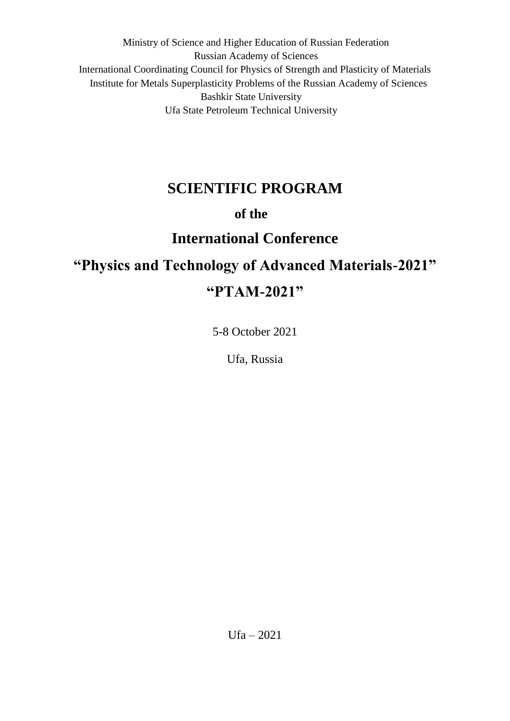Ministry of Science and Higher Education of Russian Federation Russian Academy of Sciences International Coordinating Council for Physics of Strength and Plasticity of Materials Institute for Metals Superplasticity Problems of the Russian Academy of Sciences Bashkir State University Ufa State Petroleum Technical University

# **SCIENTIFIC PROGRAM**

# **of the**

# **International Conference**

# **"Physics and Technology of Advanced Materials-2021" "PTAM-2021"**

5-8 October 2021

Ufa, Russia

Ufa – 2021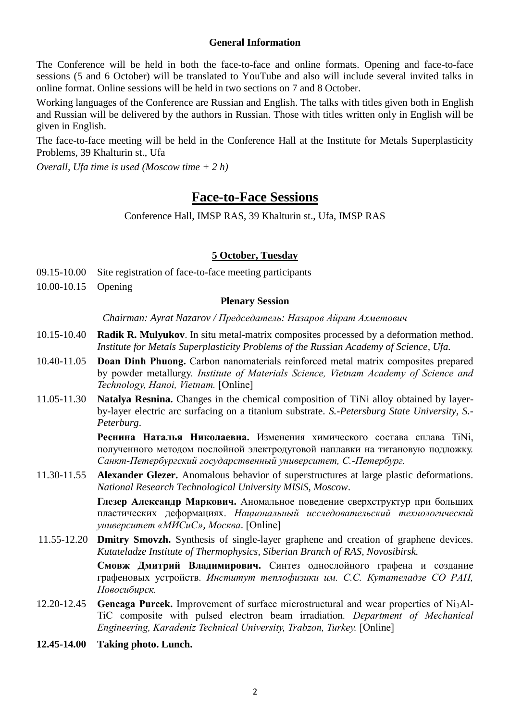#### **General Information**

The Conference will be held in both the face-to-face and online formats. Opening and face-to-face sessions (5 and 6 October) will be translated to YouTube and also will include several invited talks in online format. Online sessions will be held in two sections on 7 and 8 October.

Working languages of the Conference are Russian and English. The talks with titles given both in English and Russian will be delivered by the authors in Russian. Those with titles written only in English will be given in English.

The face-to-face meeting will be held in the Conference Hall at the Institute for Metals Superplasticity Problems, 39 Khalturin st., Ufa

*Overall, Ufa time is used (Moscow time + 2 h)*

# **Face-to-Face Sessions**

Conference Hall, IMSP RAS, 39 Khalturin st., Ufa, IMSP RAS

#### **5 October, Tuesday**

- 09.15-10.00 Site registration of face-to-face meeting participants
- 10.00-10.15 Opening

#### **Plenary Session**

*Chairman: Ayrat Nazarov / Председатель: Назаров Айрат Ахметович*

- 10.15-10.40 **Radik R. Mulyukov**. In situ metal-matrix composites processed by a deformation method. *Institute for Metals Superplasticity Problems of the Russian Academy of Science, Ufa.*
- 10.40-11.05 **Doan Dinh Phuong.** Carbon nanomaterials reinforced metal matrix composites prepared by powder metallurgy. *Institute of Materials Science, Vietnam Academy of Science and Technology, Hanoi, Vietnam.* [Online]
- 11.05-11.30 **Natalya Resnina.** Changes in the chemical composition of TiNi alloy obtained by layerby-layer electric arc surfacing on a titanium substrate. *S.-Petersburg State University, S.- Peterburg*.

**Реснина Наталья Николаевна.** Изменения химического состава сплава TiNi, полученного методом послойной электродуговой наплавки на титановую подложку. *Санкт-Петербургский государственный университет, С.-Петербург.*

11.30-11.55 **Alexander Glezer.** Anomalous behavior of superstructures at large plastic deformations. *National Research Technological University MISiS, Moscow*.

> **Глезер Александр Маркович.** Аномальное поведение сверхструктур при больших пластических деформациях. *Национальный исследовательский технологический университет «МИСиС», Москва*. [Online]

11.55-12.20 **Dmitry Smovzh.** Synthesis of single-layer graphene and creation of graphene devices. *Kutateladze Institute of Thermophysics, Siberian Branch of RAS, Novosibirsk.* 

**Смовж Дмитрий Владимирович.** Синтез однослойного графена и создание графеновых устройств. *Институт теплофизики им. С.С. Кутателадзе СО РАН, Новосибирск.*

- 12.20-12.45 **Gencaga Purcek.** Improvement of surface microstructural and wear properties of Ni3Al-TiC composite with pulsed electron beam irradiation*. Department of Mechanical Engineering, Karadeniz Technical University, Trabzon, Turkey.* [Online]
- **12.45-14.00 Taking photo. Lunch.**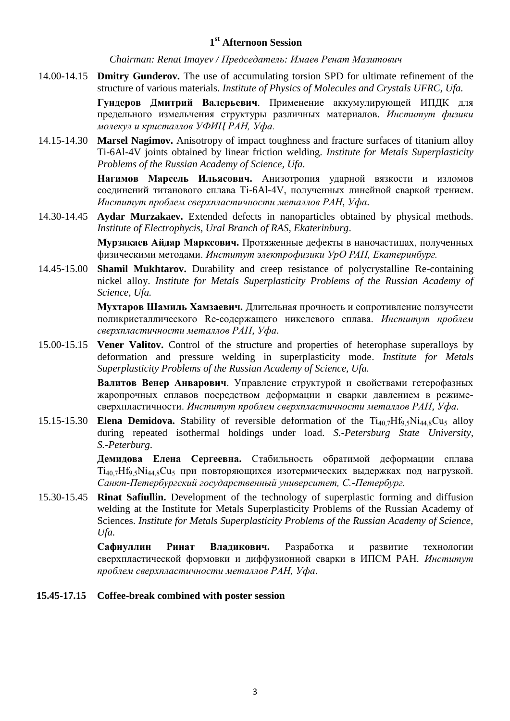## **1 st Afternoon Session**

*Chairman: Renat Imayev / Председатель: Имаев Ренат Мазитович*

14.00-14.15 **Dmitry Gunderov.** The use of accumulating torsion SPD for ultimate refinement of the structure of various materials. *Institute of Physics of Molecules and Crystals UFRC, Ufa.*

> **Гундеров Дмитрий Валерьевич**. Применение аккумулирующей ИПДК для предельного измельчения структуры различных материалов. *Институт физики молекул и кристаллов УФИЦ РАН, Уфа.*

14.15-14.30 **Marsel Nagimov.** Anisotropy of impact toughness and fracture surfaces of titanium alloy Ti-6Al-4V joints obtained by linear friction welding. *Institute for Metals Superplasticity Problems of the Russian Academy of Science, Ufa.*

> **Нагимов Марсель Ильясович.** Анизотропия ударной вязкости и изломов соединений титанового сплава Ti-6Al-4V, полученных линейной сваркой трением. *Институт проблем сверхпластичности металлов РАН, Уфа*.

14.30-14.45 **Aydar Murzakaev.** Extended defects in nanoparticles obtained by physical methods. *Institute of Electrophycis, Ural Branch of RAS, Ekaterinburg*.

> **Мурзакаев Айдар Марксович.** Протяженные дефекты в наночастицах, полученных физическими методами. *Институт электрофизики УрО РАН, Екатеринбург.*

14.45-15.00 **Shamil Mukhtarov.** Durability and creep resistance of polycrystalline Re-containing nickel alloy. *Institute for Metals Superplasticity Problems of the Russian Academy of Science, Ufa.*

> **Мухтаров Шамиль Хамзаевич.** Длительная прочность и сопротивление ползучести поликристаллического Re-содержащего никелевого сплава. *Институт проблем сверхпластичности металлов РАН, Уфа*.

15.00-15.15 **Vener Valitov.** Control of the structure and properties of heterophase superalloys by deformation and pressure welding in superplasticity mode. *Institute for Metals Superplasticity Problems of the Russian Academy of Science, Ufa.*

> **Валитов Венер Анварович**. Управление структурой и свойствами гетерофазных жаропрочных сплавов посредством деформации и сварки давлением в режимесверхпластичности. *Институт проблем сверхпластичности металлов РАН, Уфа*.

15.15-15.30 **Elena Demidova.** Stability of reversible deformation of the  $Ti_{40.7}Hf_{9.5}Ni_{44.8}Cu_5$  alloy during repeated isothermal holdings under load. *S.-Petersburg State University, S.-Peterburg*.

> **Демидова Елена Сергеевна.** Стабильность обратимой деформации сплава  $Ti_{40.7}Hf_{9.5}Ni_{44.8}Cu_5$  при повторяющихся изотермических выдержках под нагрузкой. *Санкт-Петербургский государственный университет, С.-Петербург.*

15.30-15.45 **Rinat Safiullin.** Development of the technology of superplastic forming and diffusion welding at the Institute for Metals Superplasticity Problems of the Russian Academy of Sciences. *Institute for Metals Superplasticity Problems of the Russian Academy of Science, Ufa.*

> **Сафиуллин Ринат Владикович.** Разработка и развитие технологии сверхпластической формовки и диффузионной сварки в ИПСМ РАН. *Институт проблем сверхпластичности металлов РАН, Уфа*.

#### **15.45-17.15 Coffee-break combined with poster session**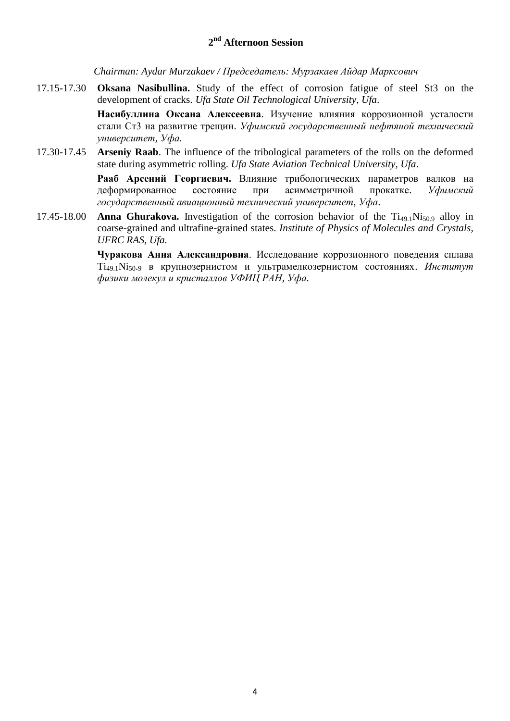## **2 nd Afternoon Session**

*Chairman: Aydar Murzakaev / Председатель: Мурзакаев Айдар Марксович*

17.15-17.30 **Oksana Nasibullina.** Study of the effect of corrosion fatigue of steel St3 on the development of cracks. *Ufa State Oil Technological University, Ufa*.

> **Насибуллина Оксана Алексеевна**. Изучение влияния коррозионной усталости стали Ст3 на развитие трещин. *Уфимский государственный нефтяной технический университет, Уфа.*

17.30-17.45 **Arseniy Raab**. The influence of the tribological parameters of the rolls on the deformed state during asymmetric rolling. *Ufa State Aviation Technical University, Ufa*.

> **Рааб Арсений Георгиевич.** Влияние трибологических параметров валков на деформированное состояние при асимметричной прокатке. *Уфимский государственный авиационный технический университет, Уфа*.

17.45-18.00 **Anna Ghurakova.** Investigation of the corrosion behavior of the  $Ti_{49,1}Ni_{50,9}$  alloy in coarse-grained and ultrafine-grained states. *Institute of Physics of Molecules and Crystals, UFRC RAS, Ufa.*

> **Чуракова Анна Александровна**. Исследование коррозионного поведения сплава Ti49.1Ni50.<sup>9</sup> в крупнозернистом и ультрамелкозернистом состояниях. *Институт физики молекул и кристаллов УФИЦ РАН, Уфа.*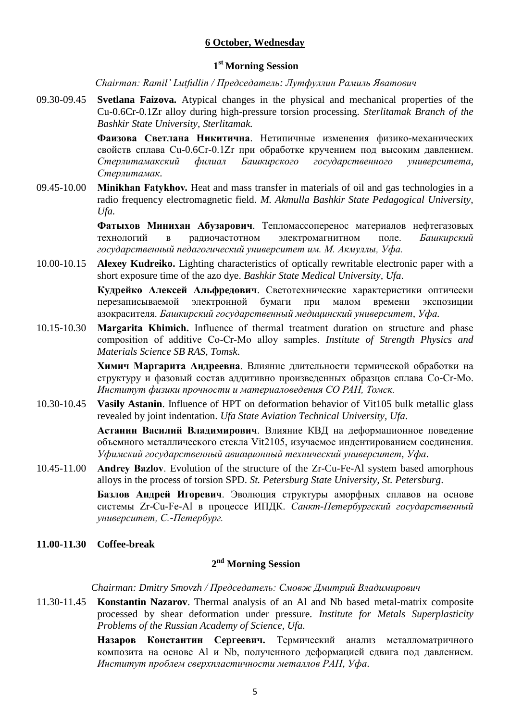#### **6 October, Wednesday**

## **1 st Morning Session**

*Chairman: Ramil' Lutfullin / Председатель: Лутфуллин Рамиль Яватович*

09.30-09.45 **Svetlana Faizova.** Atypical changes in the physical and mechanical properties of the Cu-0.6Cr-0.1Zr alloy during high-pressure torsion processing. *Sterlitamak Branch of the Bashkir State University, Sterlitamak.*

> **Фаизова Светлана Никитична**. Нетипичные изменения физико-механических свойств сплава Cu-0.6Cr-0.1Zr при обработке кручением под высоким давлением. *Стерлитамакский филиал Башкирского государственного университета, Стерлитамак.*

09.45-10.00 **Minikhan Fatykhov.** Heat and mass transfer in materials of oil and gas technologies in a radio frequency electromagnetic field. *M. Akmulla Bashkir State Pedagogical University, Ufa.*

> **Фатыхов Минихан Абузарович**. Тепломассоперенос материалов нефтегазовых технологий в радиочастотном электромагнитном поле. *Башкирский государственный педагогический университет им. М. Акмуллы, Уфа.*

10.00-10.15 **Alexey Kudreiko.** Lighting characteristics of optically rewritable electronic paper with a short exposure time of the azo dye. *Bashkir State Medical University, Ufa*.

> **Кудрейко Алексей Альфредович**. Светотехнические характеристики оптически перезаписываемой электронной бумаги при малом времени экспозиции азокрасителя. *Башкирский государственный медицинский университет, Уфа.*

10.15-10.30 **Margarita Khimich.** Influence of thermal treatment duration on structure and phase composition of additive Co-Cr-Mo alloy samples. *Institute of Strength Physics and Materials Science SB RAS, Tomsk*.

> **Химич Маргарита Андреевна**. Влияние длительности термической обработки на структуру и фазовый состав аддитивно произведенных образцов сплава Co-Cr-Mo. *Институт физики прочности и материаловедения СО РАН, Томск.*

10.30-10.45 **Vasily Astanin**. Influence of HPT on deformation behavior of Vit105 bulk metallic glass revealed by joint indentation. *Ufa State Aviation Technical University, Ufa*.

> **Астанин Василий Владимирович**. Влияние КВД на деформационное поведение объемного металлического стекла Vit2105, изучаемое индентированием соединения. *Уфимский государственный авиационный технический университет, Уфа*.

10.45-11.00 **Andrey Bazlov**. Evolution of the structure of the Zr-Cu-Fe-Al system based amorphous alloys in the process of torsion SPD. *St. Petersburg State University, St. Petersburg*.

> **Базлов Андрей Игоревич**. Эволюция структуры аморфных сплавов на основе системы Zr-Cu-Fe-Al в процессе ИПДК. *Санкт-Петербургский государственный университет, С.-Петербург.*

**11.00-11.30 Coffee-break**

## **2 nd Morning Session**

*Chairman: Dmitry Smovzh / Председатель: Смовж Дмитрий Владимирович*

11.30-11.45 **Konstantin Nazarov**. Thermal analysis of an Al and Nb based metal-matrix composite processed by shear deformation under pressure. *Institute for Metals Superplasticity Problems of the Russian Academy of Science, Ufa.*

> **Назаров Константин Сергеевич.** Термический анализ металломатричного композита на оcнове Al и Nb, полученного деформацией сдвига под давлением. *Институт проблем сверхпластичности металлов РАН, Уфа*.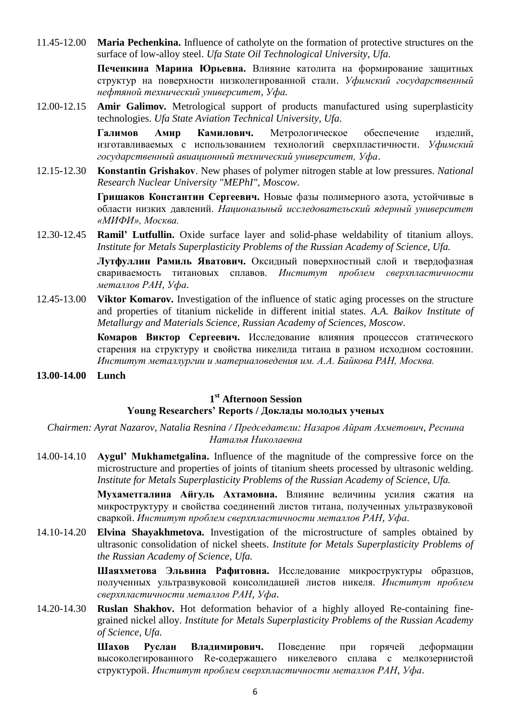11.45-12.00 **Maria Pechenkina.** Influence of catholyte on the formation of protective structures on the surface of low-alloy steel. *Ufa State Oil Technological University, Ufa*.

> **Печенкина Марина Юрьевна.** Влияние католита на формирование защитных структур на поверхности низколегированной стали. *Уфимский государственный нефтяной технический университет, Уфа.*

12.00-12.15 **Amir Galimov.** Metrological support of products manufactured using superplasticity technologies. *Ufa State Aviation Technical University, Ufa*.

> **Галимов Амир Камилович.** Метрологическое обеспечение изделий, изготавливаемых с использованием технологий сверхпластичности. *Уфимский государственный авиационный технический университет, Уфа*.

12.15-12.30 **Konstantin Grishakov**. New phases of polymer nitrogen stable at low pressures. *National Research Nuclear University "MEPhI", Moscow*.

> **Гришаков Константин Сергеевич.** Новые фазы полимерного азота, устойчивые в области низких давлений. *Национальный исследовательский ядерный университет «МИФИ», Москва.*

12.30-12.45 **Ramil' Lutfullin.** Oxide surface layer and solid-phase weldability of titanium alloys. *Institute for Metals Superplasticity Problems of the Russian Academy of Science, Ufa.*

> **Лутфуллин Рамиль Яватович.** Оксидный поверхностный слой и твердофазная свариваемость титановых сплавов. *Институт проблем сверхпластичности металлов РАН, Уфа*.

12.45-13.00 **Viktor Komarov.** Investigation of the influence of static aging processes on the structure and properties of titanium nickelide in different initial states. *A.A. Baikov Institute of Metallurgy and Materials Science, Russian Academy of Sciences, Moscow.*

> **Комаров Виктор Сергеевич.** Исследование влияния процессов статического старения на структуру и свойства никелида титана в разном исходном состоянии. *Институт металлургии и материаловедения им. А.А. Байкова РАН, Москва.*

**13.00-14.00 Lunch**

## **1 st Afternoon Session**

#### **Young Researchers' Reports / Доклады молодых ученых**

*Chairmen: Ayrat Nazarov, Natalia Resnina / Председатели: Назаров Айрат Ахметович, Реснина Наталья Николаевна*

14.00-14.10 **Aygul' Mukhametgalina.** Influence of the magnitude of the compressive force on the microstructure and properties of joints of titanium sheets processed by ultrasonic welding. *Institute for Metals Superplasticity Problems of the Russian Academy of Science, Ufa.*

> **Мухаметгалина Айгуль Ахтамовна.** Влияние величины усилия сжатия на микроструктуру и свойства соединений листов титана, полученных ультразвуковой сваркой. *Институт проблем сверхпластичности металлов РАН, Уфа*.

14.10-14.20 **Elvina Shayakhmetova.** Investigation of the microstructure of samples obtained by ultrasonic consolidation of nickel sheets. *Institute for Metals Superplasticity Problems of the Russian Academy of Science, Ufa.*

> **Шаяхметова Эльвина Рафитовна.** Исследование микроструктуры образцов, полученных ультразвуковой консолидацией листов никеля. *Институт проблем сверхпластичности металлов РАН, Уфа*.

14.20-14.30 **Ruslan Shakhov.** Hot deformation behavior of a highly alloyed Re-containing finegrained nickel alloy. *Institute for Metals Superplasticity Problems of the Russian Academy of Science, Ufa.*

> **Шахов Руслан Владимирович.** Поведение при горячей деформации высоколегированного Re-содержащего никелевого сплава с мелкозернистой структурой. *Институт проблем сверхпластичности металлов РАН, Уфа*.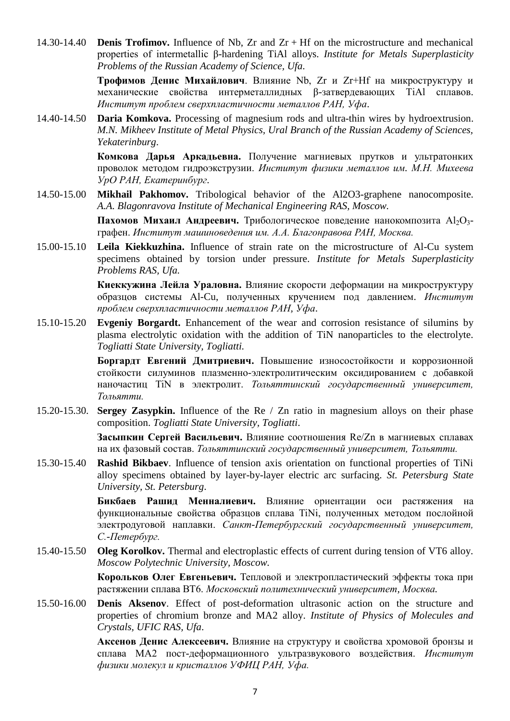14.30-14.40 **Denis Trofimov.** Influence of Nb, Zr and Zr + Hf on the microstructure and mechanical properties of intermetallic β-hardening TiAl alloys. *Institute for Metals Superplasticity Problems of the Russian Academy of Science, Ufa.*

> **Трофимов Денис Михайлович**. Влияние Nb, Zr и Zr+Hf на микроструктуру и механические свойства интерметаллидных β-затвердевающих TiAl сплавов. *Институт проблем сверхпластичности металлов РАН, Уфа*.

14.40-14.50 **Daria Komkova.** Processing of magnesium rods and ultra-thin wires by hydroextrusion. *M.N. Mikheev Institute of Metal Physics, Ural Branch of the Russian Academy of Sciences, Yekaterinburg*.

> **Комкова Дарья Аркадьевна.** Получение магниевых прутков и ультратонких проволок методом гидроэкструзии. *Институт физики металлов им. М.Н. Михеева УрО РАН, Екатеринбург*.

14.50-15.00 **Mikhail Pakhomov.** Tribological behavior of the Al2O3-graphene nanocomposite. *A.A. Blagonravova Institute of Mechanical Engineering RAS, Moscow.*

> **Пахомов Михаил Андреевич.** Трибологическое поведение нанокомпозита Al<sub>2</sub>O<sub>3</sub>графен. *Институт машиноведения им. А.А. Благонравова РАН, Москва.*

15.00-15.10 **Leila Kiekkuzhina.** Influence of strain rate on the microstructure of Al-Cu system specimens obtained by torsion under pressure. *Institute for Metals Superplasticity Problems RAS, Ufa.*

> **Киеккужина Лейла Ураловна.** Влияние скорости деформации на микроструктуру образцов системы Al-Cu, полученных кручением под давлением. *Институт проблем сверхпластичности металлов РАН, Уфа*.

15.10-15.20 **Evgeniy Borgardt.** Enhancement of the wear and corrosion resistance of silumins by plasma electrolytic oxidation with the addition of TiN nanoparticles to the electrolyte. *Togliatti State University, Togliatti.*

> **Боргардт Евгений Дмитриевич.** Повышение износостойкости и коррозионной стойкости силуминов плазменно-электролитическим оксидированием с добавкой наночастиц TiN в электролит. *Тольяттинский государственный университет, Тольятти.*

15.20-15.30. **Sergey Zasypkin.** Influence of the Re / Zn ratio in magnesium alloys on their phase composition. *Togliatti State University, Togliatti*.

> **Засыпкин Сергей Васильевич.** Влияние соотношения Re/Zn в магниевых сплавах на их фазовый состав. *Тольяттинский государственный университет, Тольятти.*

15.30-15.40 **Rashid Bikbaev**. Influence of tension axis orientation on functional properties of TiNi alloy specimens obtained by layer-by-layer electric arc surfacing. *St. Petersburg State University, St. Petersburg*.

> **Бикбаев Рашид Менналиевич.** Влияние ориентации оси растяжения на функциональные свойства образцов сплава TiNi, полученных методом послойной электродуговой наплавки. *Санкт-Петербургский государственный университет, С.-Петербург.*

15.40-15.50 **Oleg Korolkov.** Thermal and electroplastic effects of current during tension of VT6 alloy. *Moscow Polytechnic University, Moscow.* 

> **Корольков Олег Евгеньевич.** Тепловой и электропластический эффекты тока при растяжении сплава ВТ6. *Московский политехнический университет, Москва.*

15.50-16.00 **Denis Aksenov**. Effect of post-deformation ultrasonic action on the structure and properties of chromium bronze and MA2 alloy. *Institute of Physics of Molecules and Crystals, UFIC RAS, Ufa*.

> **Аксенов Денис Алексеевич.** Влияние на структуру и свойства хромовой бронзы и сплава МА2 пост-деформационного ультразвукового воздействия. *Институт физики молекул и кристаллов УФИЦ РАН, Уфа.*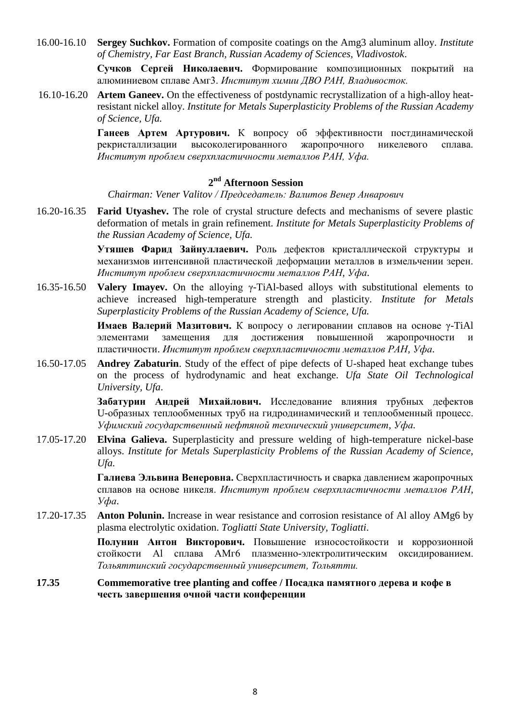16.00-16.10 **Sergey Suchkov.** Formation of composite coatings on the Amg3 aluminum alloy. *Institute of Chemistry, Far East Branch, Russian Academy of Sciences, Vladivostok*.

> **Сучков Сергей Николаевич.** Формирование композиционных покрытий на алюминиевом сплаве Амг3. *Институт химии ДВО РАН, Владивосток.*

16.10-16.20 **Artem Ganeev.** On the effectiveness of postdynamic recrystallization of a high-alloy heatresistant nickel alloy. *Institute for Metals Superplasticity Problems of the Russian Academy of Science, Ufa.*

> **Ганеев Артем Артурович.** К вопросу об эффективности постдинамической рекристаллизации высоколегированного жаропрочного никелевого сплава. *Институт проблем сверхпластичности металлов РАН, Уфа.*

## **2 nd Afternoon Session**

*Chairman: Vener Valitov / Председатель: Валитов Венер Анварович*

16.20-16.35 **Farid Utyashev.** The role of crystal structure defects and mechanisms of severe plastic deformation of metals in grain refinement. *Institute for Metals Superplasticity Problems of the Russian Academy of Science, Ufa.*

> **Утяшев Фарид Зайнуллаевич.** Роль дефектов кристаллической структуры и механизмов интенсивной пластической деформации металлов в измельчении зерен. *Институт проблем сверхпластичности металлов РАН, Уфа*.

16.35-16.50 **Valery Imayev.** On the alloying γ-TiAl-based alloys with substitutional elements to achieve increased high-temperature strength and plasticity. *Institute for Metals Superplasticity Problems of the Russian Academy of Science, Ufa.*

> **Имаев Валерий Мазитович.** К вопросу о легировании сплавов на основе γ-TiAl элементами замещения для достижения повышенной жаропрочности и пластичности. *Институт проблем сверхпластичности металлов РАН, Уфа*.

16.50-17.05 **Andrey Zabaturin**. Study of the effect of pipe defects of U-shaped heat exchange tubes on the process of hydrodynamic and heat exchange. *Ufa State Oil Technological University, Ufa*.

> **Забатурин Андрей Михайлович.** Исследование влияния трубных дефектов U-образных теплообменных труб на гидродинамический и теплообменный процесс. *Уфимский государственный нефтяной технический университет, Уфа.*

17.05-17.20 **Elvina Galieva.** Superplasticity and pressure welding of high-temperature nickel-base alloys. *Institute for Metals Superplasticity Problems of the Russian Academy of Science, Ufa.*

> **Галиева Эльвина Венеровна.** Сверхпластичность и сварка давлением жаропрочных сплавов на основе никеля. *Институт проблем сверхпластичности металлов РАН, Уфа*.

17.20-17.35 **Anton Polunin.** Increase in wear resistance and corrosion resistance of Al alloy AMg6 by plasma electrolytic oxidation. *Togliatti State University, Togliatti*.

> **Полунин Антон Викторович.** Повышение износостойкости и коррозионной стойкости Al сплава АМг6 плазменно-электролитическим оксидированием. *Тольяттинский государственный университет, Тольятти.*

#### **17.35 Commemorative tree planting and coffee / Посадка памятного дерева и кофе в честь завершения очной части конференции**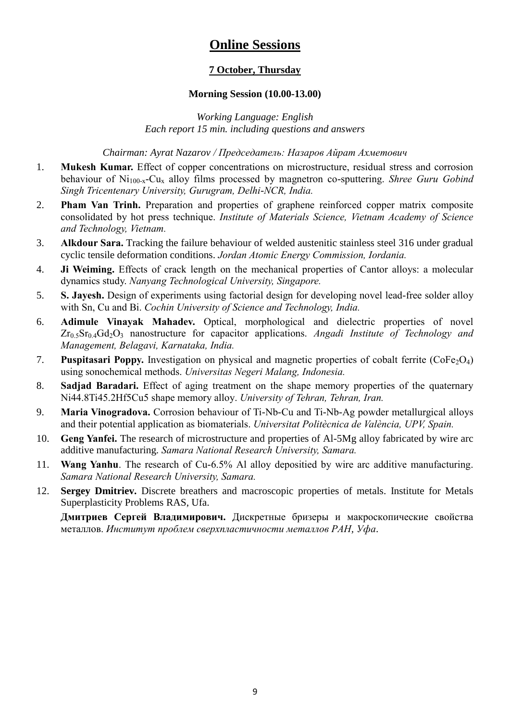# **Online Sessions**

# **7 October, Thursday**

#### **Morning Session (10.00-13.00)**

*Working Language: English Each report 15 min. including questions and answers*

*Chairman: Ayrat Nazarov / Председатель: Назаров Айрат Ахметович*

- 1. **Mukesh Kumar.** Effect of copper concentrations on microstructure, residual stress and corrosion behaviour of Ni<sub>100-x</sub>-Cu<sub>x</sub> alloy films processed by magnetron co-sputtering. *Shree Guru Gobind Singh Tricentenary University, Gurugram, Delhi-NCR, India.*
- 2. **Pham Van Trinh.** Preparation and properties of graphene reinforced copper matrix composite consolidated by hot press technique. *Institute of Materials Science, Vietnam Academy of Science and Technology, Vietnam.*
- 3. **Alkdour Sara.** Tracking the failure behaviour of welded austenitic stainless steel 316 under gradual cyclic tensile deformation conditions. *Jordan Atomic Energy Commission, Iordania.*
- 4. **Ji Weiming.** Effects of crack length on the mechanical properties of Cantor alloys: a molecular dynamics study. *Nanyang Technological University, Singapore.*
- 5. **S. Jayesh.** Design of experiments using factorial design for developing novel lead-free solder alloy with Sn, Cu and Bi. *Cochin University of Science and Technology, India.*
- 6. **Adimule Vinayak Mahadev.** Optical, morphological and dielectric properties of novel Zr<sub>0.5</sub>Sr<sub>0.4</sub>Gd<sub>2</sub>O<sub>3</sub> nanostructure for capacitor applications. *Angadi Institute of Technology and Management, Belagavi, Karnataka, India.*
- 7. **Puspitasari Poppy.** Investigation on physical and magnetic properties of cobalt ferrite (CoFe<sub>2</sub>O<sub>4</sub>) using sonochemical methods. *Universitas Negeri Malang, Indonesia.*
- 8. **Sadjad Baradari.** Effect of aging treatment on the shape memory properties of the quaternary Ni44.8Ti45.2Hf5Cu5 shape memory alloy. *University of Tehran, Tehran, Iran.*
- 9. **Maria Vinogradova.** Corrosion behaviour of Ti-Nb-Cu and Ti-Nb-Ag powder metallurgical alloys and their potential application as biomaterials. *Universitat Politècnica de València, UPV, Spain.*
- 10. **Geng Yanfei.** The research of microstructure and properties of Al-5Mg alloy fabricated by wire arc additive manufacturing. *Samara National Research University, Samara.*
- 11. **Wang Yanhu**. The research of Cu-6.5% Al alloy depositied by wire arc additive manufacturing. *Samara National Research University, Samara.*
- 12. **Sergey Dmitriev.** Discrete breathers and macroscopic properties of metals. Institute for Metals Superplasticity Problems RAS, Ufa.

**Дмитриев Сергей Владимирович.** Дискретные бризеры и макроскопические свойства металлов. *Институт проблем сверхпластичности металлов РАН, Уфа*.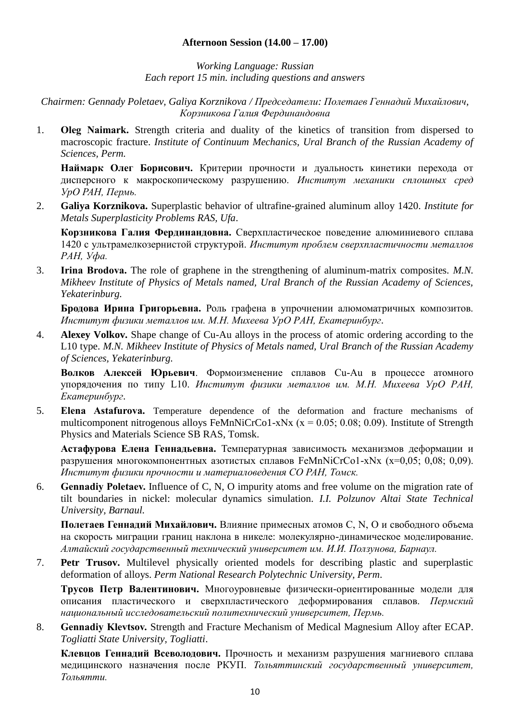#### **Afternoon Session (14.00 – 17.00)**

*Working Language: Russian Each report 15 min. including questions and answers*

*Chairmen: Gennady Poletaev, Galiya Korznikova / Председатели: Полетаев Геннадий Михайлович, Корзникова Галия Фердинандовна*

1. **Oleg Naimark.** Strength criteria and duality of the kinetics of transition from dispersed to macroscopic fracture. *Institute of Continuum Mechanics, Ural Branch of the Russian Academy of Sciences, Perm.*

**Наймарк Олег Борисович.** Критерии прочности и дуальность кинетики перехода от дисперсного к макроскопическому разрушению. *Институт механики сплошных сред УрО РАН, Пермь.*

2. **Galiya Korznikova.** Superplastic behavior of ultrafine-grained aluminum alloy 1420. *Institute for Metals Superplasticity Problems RAS, Ufa*.

**Корзникова Галия Фердинандовна.** Сверхпластическое поведение алюминиевого сплава 1420 с ультрамелкозернистой структурой. *Институт проблем сверхпластичности металлов РАН, Уфа.*

3. **Irina Brodova.** The role of graphene in the strengthening of aluminum-matrix composites. *M.N. Mikheev Institute of Physics of Metals named, Ural Branch of the Russian Academy of Sciences, Yekaterinburg.*

**Бродова Ирина Григорьевна.** Роль графена в упрочнении алюмоматричных композитов. *Институт физики металлов им. М.Н. Михеева УрО РАН, Екатеринбург*.

4. **Alexey Volkov.** Shape change of Cu-Au alloys in the process of atomic ordering according to the L10 type. *M.N. Mikheev Institute of Physics of Metals named, Ural Branch of the Russian Academy of Sciences, Yekaterinburg.*

**Волков Алексей Юрьевич**. Формоизменение сплавов Cu-Au в процессе атомного упорядочения по типу L10. *Институт физики металлов им. М.Н. Михеева УрО РАН, Екатеринбург*.

5. **Elena Astafurova.** Temperature dependence of the deformation and fracture mechanisms of multicomponent nitrogenous alloys FeMnNiCrCo1-xNx ( $x = 0.05$ ; 0.08; 0.09). Institute of Strength Physics and Materials Science SB RAS, Tomsk.

**Астафурова Елена Геннадьевна.** Температурная зависимость механизмов деформации и разрушения многокомпонентных азотистых сплавов FeMnNiCrCo1-хNх (х=0,05; 0,08; 0,09). *Институт физики прочности и материаловедения СО РАН, Томск.*

6. **Gennadiy Poletaev.** Influence of C, N, O impurity atoms and free volume on the migration rate of tilt boundaries in nickel: molecular dynamics simulation. *I.I. Polzunov Altai State Technical University, Barnaul.*

**Полетаев Геннадий Михайлович.** Влияние примесных атомов C, N, O и свободного объема на скорость миграции границ наклона в никеле: молекулярно-динамическое моделирование. *Алтайский государственный технический университет им. И.И. Ползунова, Барнаул.*

7. **Petr Trusov.** Multilevel physically oriented models for describing plastic and superplastic deformation of alloys. *Perm National Research Polytechnic University, Perm*.

**Трусов Петр Валентинович.** Многоуровневые физически-ориентированные модели для описания пластического и сверхпластического деформирования сплавов. *Пермский национальный исследовательский политехнический университет, Пермь.*

8. **Gennadiy Klevtsov.** Strength and Fracture Mechanism of Medical Magnesium Alloy after ECAP. *Togliatti State University, Togliatti*.

**Клевцов Геннадий Всеволодович.** Прочность и механизм разрушения магниевого сплава медицинского назначения после РКУП. *Тольяттинский государственный университет, Тольятти.*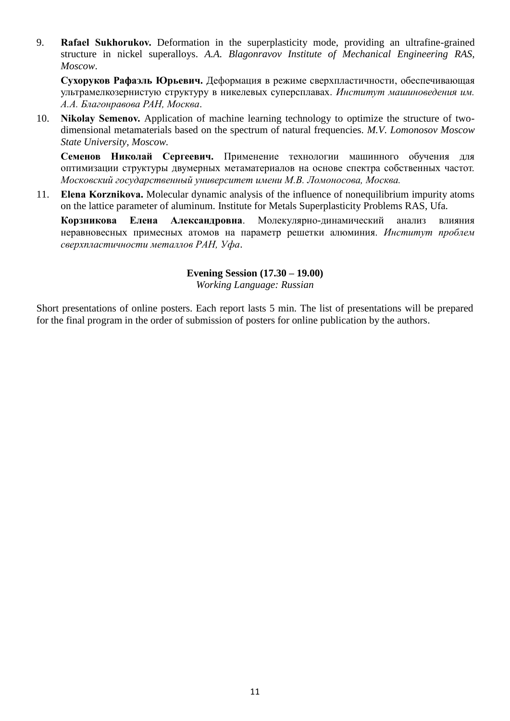9. **Rafael Sukhorukov.** Deformation in the superplasticity mode, providing an ultrafine-grained structure in nickel superalloys. *A.A. Blagonravov Institute of Mechanical Engineering RAS, Moscow*.

**Сухоруков Рафаэль Юрьевич.** Деформация в режиме сверхпластичности, обеспечивающая ультрамелкозернистую структуру в никелевых суперсплавах. *Институт машиноведения им. А.А. Благонравова РАН, Москва*.

10. **Nikolay Semenov.** Application of machine learning technology to optimize the structure of twodimensional metamaterials based on the spectrum of natural frequencies. *M.V. Lomonosov Moscow State University, Moscow.*

**Семенов Николай Сергеевич.** Применение технологии машинного обучения для оптимизации структуры двумерных метаматериалов на основе спектра собственных частот. *Московский государственный университет имени М.В. Ломоносова, Москва.*

11. **Elena Korznikova.** Molecular dynamic analysis of the influence of nonequilibrium impurity atoms on the lattice parameter of aluminum. Institute for Metals Superplasticity Problems RAS, Ufa.

**Корзникова Елена Александровна**. Молекулярно-динамический анализ влияния неравновесных примесных атомов на параметр решетки алюминия. *Институт проблем сверхпластичности металлов РАН, Уфа*.

#### **Evening Session (17.30 – 19.00)**

*Working Language: Russian*

Short presentations of online posters. Each report lasts 5 min. The list of presentations will be prepared for the final program in the order of submission of posters for online publication by the authors.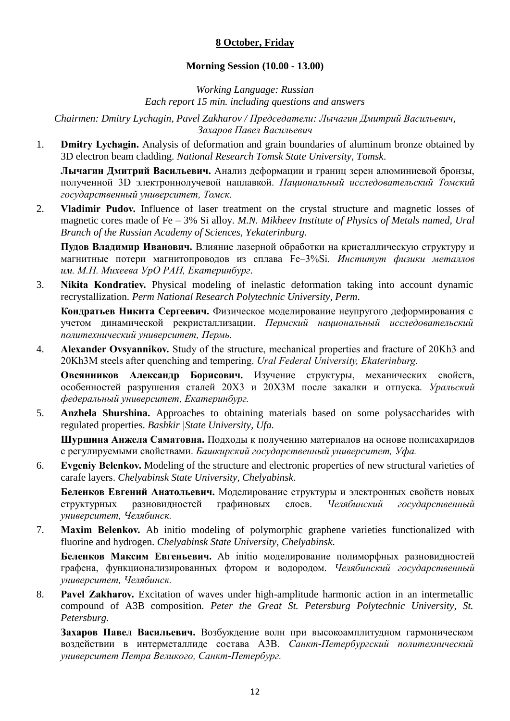#### **8 October, Friday**

#### **Morning Session (10.00 - 13.00)**

*Working Language: Russian Each report 15 min. including questions and answers*

*Chairmen: Dmitry Lychagin, Pavel Zakharov / Председатели: Лычагин Дмитрий Васильевич, Захаров Павел Васильевич*

1. **Dmitry Lychagin.** Analysis of deformation and grain boundaries of aluminum bronze obtained by 3D electron beam cladding. *National Research Tomsk State University, Tomsk*.

**Лычагин Дмитрий Васильевич.** Анализ деформации и границ зерен алюминиевой бронзы, полученной 3D электроннолучевой наплавкой. *Национальный исследовательский Томский государственный университет, Томск.*

2. **Vladimir Pudov.** Influence of laser treatment on the crystal structure and magnetic losses of magnetic cores made of Fe – 3% Si alloy*. M.N. Mikheev Institute of Physics of Metals named, Ural Branch of the Russian Academy of Sciences, Yekaterinburg.*

**Пудов Владимир Иванович.** Влияние лазерной обработки на кристаллическую структуру и магнитные потери магнитопроводов из сплава Fе–3%Si. *Институт физики металлов им. М.Н. Михеева УрО РАН, Екатеринбург*.

3. **Nikita Kondratiev.** Physical modeling of inelastic deformation taking into account dynamic recrystallization. *Perm National Research Polytechnic University, Perm*.

**Кондратьев Никита Сергеевич.** Физическое моделирование неупругого деформирования с учетом динамической рекристаллизации. *Пермский национальный исследовательский политехнический университет, Пермь.*

4. **Alexander Ovsyannikov.** Study of the structure, mechanical properties and fracture of 20Kh3 and 20Kh3M steels after quenching and tempering. *Ural Federal University, Ekaterinburg.*

**Овсянников Александр Борисович.** Изучение структуры, механических свойств, особенностей разрушения сталей 20Х3 и 20Х3М после закалки и отпуска. *Уральский федеральный университет, Екатеринбург.*

5. **Anzhela Shurshina.** Approaches to obtaining materials based on some polysaccharides with regulated properties. *Bashkir |State University, Ufa.*

**Шуршина Анжела Саматовна.** Подходы к получению материалов на основе полисахаридов с регулируемыми свойствами. *Башкирский государственный университет, Уфа.*

6. **Evgeniy Belenkov.** Modeling of the structure and electronic properties of new structural varieties of carafe layers. *Chelyabinsk State University, Chelyabinsk*.

**Беленков Евгений Анатольевич.** Моделирование структуры и электронных свойств новых структурных разновидностей графиновых слоев. *Челябинский государственный университет, Челябинск.*

7. **Maxim Belenkov.** Ab initio modeling of polymorphic graphene varieties functionalized with fluorine and hydrogen. *Chelyabinsk State University, Chelyabinsk*.

**Беленков Максим Евгеньевич.** Ab initio моделирование полиморфных разновидностей графена, функционализированных фтором и водородом. *Челябинский государственный университет, Челябинск.*

8. **Pavel Zakharov.** Excitation of waves under high-amplitude harmonic action in an intermetallic compound of A3B composition*. Peter the Great St. Petersburg Polytechnic University, St. Petersburg.*

**Захаров Павел Васильевич.** Возбуждение волн при высокоамплитудном гармоническом воздействии в интерметаллиде состава А3В. *Санкт-Петербургский политехнический университет Петра Великого, Санкт-Петербург.*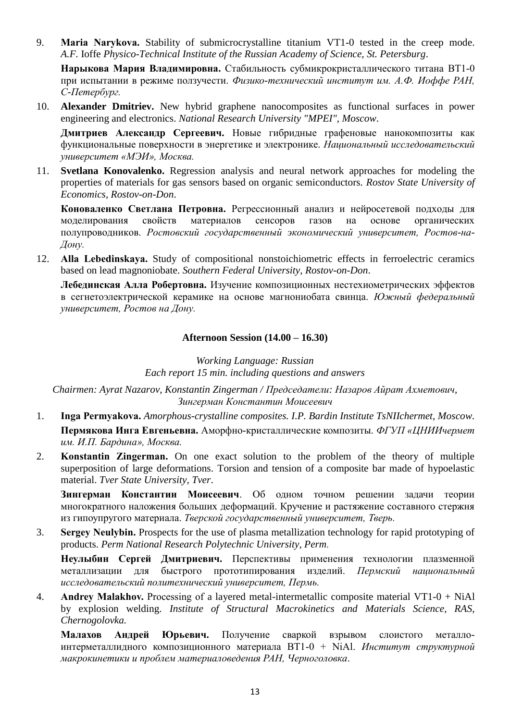9. **Maria Narykova.** Stability of submicrocrystalline titanium VT1-0 tested in the creep mode. *A.F.* Ioffe *Physico-Technical Institute of the Russian Academy of Science, St. Petersburg*.

**Нарыкова Мария Владимировна.** Стабильность субмикрокристаллического титана ВТ1-0 при испытании в режиме ползучести. *Физико-технический институт им. А.Ф. Иоффе РАН, С-Петербург.*

10. **Alexander Dmitriev.** New hybrid graphene nanocomposites as functional surfaces in power engineering and electronics. *National Research University "MPEI", Moscow*.

**Дмитриев Александр Сергеевич.** Новые гибридные графеновые нанокомпозиты как функциональные поверхности в энергетике и электронике. *Национальный исследовательский университет «МЭИ», Москва.*

11. **Svetlana Konovalenko.** Regression analysis and neural network approaches for modeling the properties of materials for gas sensors based on organic semiconductors. *Rostov State University of Economics, Rostov-on-Don*.

**Коноваленко Светлана Петровна.** Регрессионный анализ и нейросетевой подходы для моделирования свойств материалов сенсоров газов на основе органических полупроводников. *Ростовский государственный экономический университет, Ростов-на-Дону.*

12. **Alla Lebedinskaya.** Study of compositional nonstoichiometric effects in ferroelectric ceramics based on lead magnoniobate. *Southern Federal University, Rostov-on-Don*.

**Лебединская Алла Робертовна.** Изучение композиционных нестехиометрических эффектов в сегнетоэлектрической керамике на основе магнониобата свинца. *Южный федеральный университет, Ростов на Дону.*

#### **Afternoon Session (14.00 – 16.30)**

*Working Language: Russian Each report 15 min. including questions and answers*

*Chairmen: Ayrat Nazarov, Konstantin Zingerman / Председатели: Назаров Айрат Ахметович, Зингерман Константин Моисеевич*

- 1. **Inga Permyakova.** *Amorphous-crystalline composites. I.P. Bardin Institute TsNIIchermet, Moscow.* **Пермякова Инга Евгеньевна.** Аморфно-кристаллические композиты. *ФГУП «ЦНИИчермет им. И.П. Бардина», Москва.*
- 2. **Konstantin Zingerman.** On one exact solution to the problem of the theory of multiple superposition of large deformations. Torsion and tension of a composite bar made of hypoelastic material. *Tver State University, Tver*.

**Зингерман Константин Моисеевич**. Об одном точном решении задачи теории многократного наложения больших деформаций. Кручение и растяжение составного стержня из гипоупругого материала. *Тверской государственный университет, Тверь.*

3. **Sergey Neulybin.** Prospects for the use of plasma metallization technology for rapid prototyping of products. *Perm National Research Polytechnic University, Perm.*

**Неулыбин Сергей Дмитриевич.** Перспективы применения технологии плазменной металлизации для быстрого прототипирования изделий. *Пермский национальный исследовательский политехнический университет, Пермь.*

4. **Andrey Malakhov.** Processing of a layered metal-intermetallic composite material VT1-0 + NiAl by explosion welding. *Institute of Structural Macrokinetics and Materials Science, RAS, Chernogolovka.*

**Малахов Андрей Юрьевич.** Получение сваркой взрывом слоистого металлоинтерметаллидного композиционного материала ВТ1-0 + NiAl. *Институт структурной макрокинетики и проблем материаловедения РАН, Черноголовка*.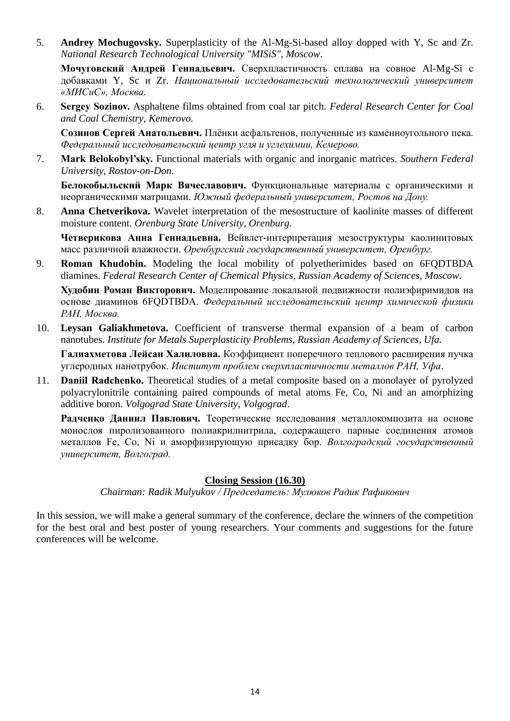5. **Andrey Mochugovsky.** Superplasticity of the Al-Mg-Si-based alloy dopped with Y, Sc and Zr. *National Research Technological University "MISiS", Moscow*.

**Мочуговский Андрей Геннадьевич.** Сверхпластичность сплава на совное Al-Mg-Si с добавками Y, Sc и Zr. *Национальный исследовательский технологический университет «МИСиС», Москва*.

6. **Sergey Sozinov.** Asphaltene films obtained from coal tar pitch. *Federal Research Center for Coal and Coal Chemistry, Kemerovo.*

**Созинов Сергей Анатольевич.** Плёнки асфальтенов, полученные из каменноугольного пека. *Федеральный исследовательский центр угля и углехимии, Кемерово.*

7. **Mark Belokobyl'sky.** Functional materials with organic and inorganic matrices. *Southern Federal University, Rostov-on-Don.*

**Белокобыльский Марк Вячеславович.** Функциональные материалы с органическими и неорганическими матрицами. *Южный федеральный университет, Ростов на Дону.*

8. **Anna Chetverikova.** Wavelet interpretation of the mesostructure of kaolinite masses of different moisture content. *Orenburg State University, Orenburg*.

**Четверикова Анна Геннадьевна.** Вейвлет-интерпретация мезоструктуры каолинитовых масс различной влажности. *Оренбургский государственный университет, Оренбург.*

9. **Roman Khudobin.** Modeling the local mobility of polyetherimides based on 6FQDTBDA diamines. *Federal Research Center of Chemical Physics, Russian Academy of Sciences, Moscow*.

**Худобин Роман Викторович.** Моделирование локальной подвижности полиэфиримидов на основе диаминов 6FQDTBDA. *Федеральный исследовательский центр химической физики РАН, Москва.*

10. **Leysan Galiakhmetova.** Coefficient of transverse thermal expansion of a beam of carbon nanotubes. *Institute for Metals Superplasticity Problems, Russian Academy of Sciences, Ufa.*

**Галиахметова Лейсан Халиловна.** Коэффициент поперечного теплового расширения пучка углеродных нанотрубок. *Институт проблем сверхпластичности металлов РАН, Уфа*.

11. **Daniil Radchenko.** Theoretical studies of a metal composite based on a monolayer of pyrolyzed polyacrylonitrile containing paired compounds of metal atoms Fe, Co, Ni and an amorphizing additive boron. *Volgograd State University, Volgograd*.

**Радченко Даниил Павлович.** Теоретические исследования металлокомпозита на основе монослоя пиролизованного полиакрилнитрила, содержащего парные соединения атомов металлов Fe, Co, Ni и аморфизирующую присадку бор. *Волгоградский государственный университет, Волгоград.*

#### **Closing Session (16.30)**

*Chairman: Radik Mulyukov / Председатель: Мулюков Радик Рафикович*

In this session, we will make a general summary of the conference, declare the winners of the competition for the best oral and best poster of young researchers. Your comments and suggestions for the future conferences will be welcome.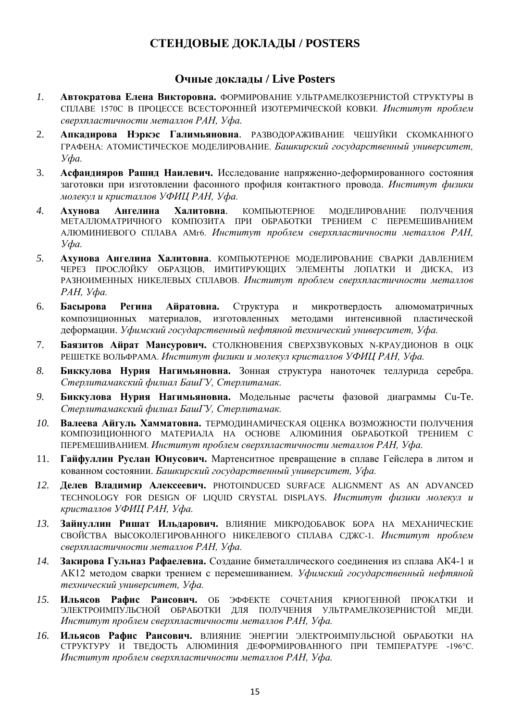# **СТЕНДОВЫЕ ДОКЛАДЫ / POSTERS**

# **Очные доклады / Live Posters**

- *1.* **Автократова Елена Викторовна.** ФОРМИРОВАНИЕ УЛЬТРАМЕЛКОЗЕРНИСТОЙ СТРУКТУРЫ В СПЛАВЕ 1570С В ПРОЦЕССЕ ВСЕСТОРОННЕЙ ИЗОТЕРМИЧЕСКОЙ КОВКИ. *Институт проблем сверхпластичности металлов РАН, Уфа.*
- 2. **Апкадирова Нэркэс Галимьяновна**. РАЗВОДОРАЖИВАНИЕ ЧЕШУЙКИ СКОМКАННОГО ГРАФЕНА: АТОМИСТИЧЕСКОЕ МОДЕЛИРОВАНИЕ. *Башкирский государственный университет, Уфа.*
- 3. **Асфандияров Рашид Наилевич.** Исследование напряженно-деформированного состояния заготовки при изготовлении фасонного профиля контактного провода. *Институт физики молекул и кристаллов УФИЦ РАН, Уфа.*
- *4.* **Ахунова Ангелина Халитовна**. КОМПЬЮТЕРНОЕ МОДЕЛИРОВАНИЕ ПОЛУЧЕНИЯ МЕТАЛЛОМАТРИЧНОГО КОМПОЗИТА ПРИ ОБРАБОТКИ ТРЕНИЕМ С ПЕРЕМЕШИВАНИЕМ АЛЮМИНИЕВОГО СПЛАВА АМг6. *Институт проблем сверхпластичности металлов РАН, Уфа.*
- *5.* **Ахунова Ангелина Халитовна**. КОМПЬЮТЕРНОЕ МОДЕЛИРОВАНИЕ СВАРКИ ДАВЛЕНИЕМ ЧЕРЕЗ ПРОСЛОЙКУ ОБРАЗЦОВ, ИМИТИРУЮЩИХ ЭЛЕМЕНТЫ ЛОПАТКИ И ДИСКА, ИЗ РАЗНОИМЕННЫХ НИКЕЛЕВЫХ СПЛАВОВ. *Институт проблем сверхпластичности металлов РАН, Уфа.*
- 6. **Басырова Регина Айратовна.** Структура и микротвердость алюмоматричных композиционных материалов, изготовленных методами интенсивной пластической деформации. *Уфимский государственный нефтяной технический университет, Уфа.*
- 7. **Баязитов Айрат Мансурович.** СТОЛКНОВЕНИЯ СВЕРХЗВУКОВЫХ N-КРАУДИОНОВ В ОЦК РЕШЕТКЕ ВОЛЬФРАМА. *Институт физики и молекул кристаллов УФИЦ РАН, Уфа.*
- *8.* **Биккулова Нурия Нагимьяновна.** Зонная структура наноточек теллурида серебра. *Стерлитамакский филиал БашГУ, Стерлитамак.*
- *9.* **Биккулова Нурия Нагимьяновна.** Модельные расчеты фазовой диаграммы Cu-Te. *Стерлитамакский филиал БашГУ, Стерлитамак.*
- *10.* **Валеева Айгуль Хамматовна.** ТЕРМОДИНАМИЧЕСКАЯ ОЦЕНКА ВОЗМОЖНОСТИ ПОЛУЧЕНИЯ КОМПОЗИЦИОННОГО МАТЕРИАЛА НА ОСНОВЕ АЛЮМИНИЯ ОБРАБОТКОЙ ТРЕНИЕМ С ПЕРЕМЕШИВАНИЕМ. *Институт проблем сверхпластичности металлов РАН, Уфа.*
- 11. **Гайфуллин Руслан Юнусович.** Мартенситное превращение в сплаве Гейслера в литом и кованном состоянии. *Башкирский государственный университет, Уфа.*
- *12.* **Делев Владимир Алексеевич.** PHOTOINDUCED SURFACE ALIGNMENT AS AN ADVANCED TECHNOLOGY FOR DESIGN OF LIQUID CRYSTAL DISPLAYS. *Институт физики молекул и кристаллов УФИЦ РАН, Уфа.*
- *13.* **Зайнуллин Ришат Ильдарович.** ВЛИЯНИЕ МИКРОДОБАВОК БОРА НА МЕХАНИЧЕСКИЕ СВОЙСТВА ВЫСОКОЛЕГИРОВАННОГО НИКЕЛЕВОГО СПЛАВА СДЖС-1. *Институт проблем сверхпластичности металлов РАН, Уфа.*
- *14.* **Закирова Гульназ Рафаелевна.** Создание биметаллического соединения из сплава АК4-1 и АК12 методом сварки трением с перемешиванием. *Уфимский государственный нефтяной технический университет, Уфа.*
- *15.* **Ильясов Рафис Раисович.** OБ ЭФФЕКТЕ СОЧЕТАНИЯ КРИОГЕННОЙ ПРОКАТКИ И ЭЛЕКТРОИМПУЛЬСНОЙ ОБРАБОТКИ ДЛЯ ПОЛУЧЕНИЯ УЛЬТРАМЕЛКОЗЕРНИСТОЙ МЕДИ. *Институт проблем сверхпластичности металлов РАН, Уфа.*
- *16.* **Ильясов Рафис Раисович.** ВЛИЯНИЕ ЭНЕРГИИ ЭЛЕКТРОИМПУЛЬСНОЙ ОБРАБОТКИ НА СТРУКТУРУ И ТВЕДОСТЬ АЛЮМИНИЯ ДЕФОРМИРОВАННОГО ПРИ ТЕМПЕРАТУРЕ -196°С. *Институт проблем сверхпластичности металлов РАН, Уфа.*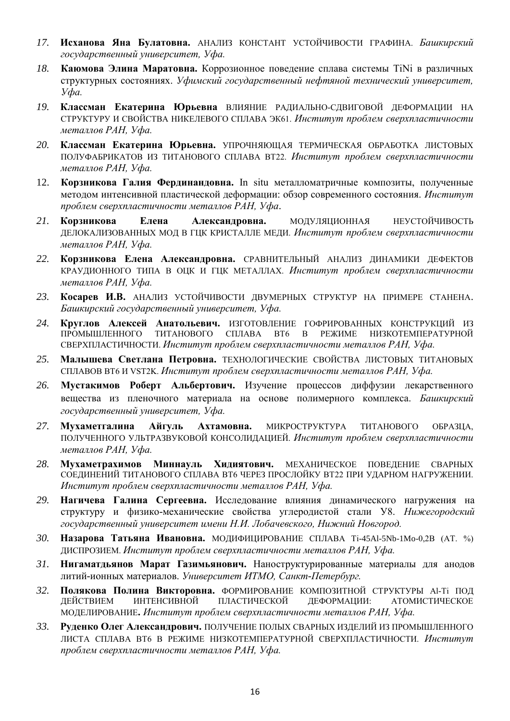- *17.* **Исханова Яна Булатовна.** АНАЛИЗ КОНСТАНТ УСТОЙЧИВОСТИ ГРАФИНА. *Башкирский государственный университет, Уфа.*
- *18.* **Каюмова Элина Маратовна.** Коррозионное поведение сплава системы TiNi в различных структурных состояниях. *Уфимский государственный нефтяной технический университет, Уфа.*
- *19.* **Классман Екатерина Юрьевна** ВЛИЯНИЕ РАДИАЛЬНО-СДВИГОВОЙ ДЕФОРМАЦИИ НА СТРУКТУРУ И СВОЙСТВА НИКЕЛЕВОГО СПЛАВА ЭК61. *Институт проблем сверхпластичности металлов РАН, Уфа.*
- *20.* **Классман Екатерина Юрьевна.** УПРОЧНЯЮЩАЯ ТЕРМИЧЕСКАЯ ОБРАБОТКА ЛИСТОВЫХ ПОЛУФАБРИКАТОВ ИЗ ТИТАНОВОГО СПЛАВА ВТ22. *Институт проблем сверхпластичности металлов РАН, Уфа.*
- 12. **Корзникова Галия Фердинандовна.** In situ металломатричные композиты, полученные методом интенсивной пластической деформации: обзор современного состояния. *Институт проблем сверхпластичности металлов РАН, Уфа*.
- *21.* **Корзникова Елена Александровна.** МОДУЛЯЦИОННАЯ НЕУСТОЙЧИВОСТЬ ДЕЛОКАЛИЗОВАННЫХ МОД В ГЦК КРИСТАЛЛЕ МЕДИ. *Институт проблем сверхпластичности металлов РАН, Уфа.*
- *22.* **Корзникова Елена Александровна.** СРАВНИТЕЛЬНЫЙ АНАЛИЗ ДИНАМИКИ ДЕФЕКТОВ КРАУДИОННОГО ТИПА В ОЦК И ГЦК МЕТАЛЛАХ. *Институт проблем сверхпластичности металлов РАН, Уфа.*
- *23.* **Косарев И.В.** АНАЛИЗ УСТОЙЧИВОСТИ ДВУМЕРНЫХ СТРУКТУР НА ПРИМЕРЕ СТАНЕНА. *Башкирский государственный университет, Уфа.*
- *24.* **Круглов Алексей Анатольевич.** ИЗГОТОВЛЕНИЕ ГОФРИРОВАННЫХ КОНСТРУКЦИЙ ИЗ ТИТАНОВОГО СПЛАВА ВТ6 В СВЕРХПЛАСТИЧНОСТИ. *Институт проблем сверхпластичности металлов РАН, Уфа.*
- *25.* **Малышева Светлана Петровна.** ТЕХНОЛОГИЧЕСКИЕ СВОЙСТВА ЛИСТОВЫХ ТИТАНОВЫХ СПЛАВОВ ВТ6 И VST2K. *Институт проблем сверхпластичности металлов РАН, Уфа.*
- *26.* **Мустакимов Роберт Альбертович.** Изучение процессов диффузии лекарственного вещества из пленочного материала на основе полимерного комплекса. *Башкирский государственный университет, Уфа.*
- *27.* **Мухаметгалина Айгуль Ахтамовна.** МИКРОСТРУКТУРА ТИТАНОВОГО ОБРАЗЦА, ПОЛУЧЕННОГО УЛЬТРАЗВУКОВОЙ КОНСОЛИДАЦИЕЙ. *Институт проблем сверхпластичности металлов РАН, Уфа.*
- *28.* **Мухаметрахимов Миннауль Хидиятович.** МЕХАНИЧЕСКОЕ ПОВЕДЕНИЕ СВАРНЫХ СОЕДИНЕНИЙ ТИТАНОВОГО СПЛАВА ВТ6 ЧЕРЕЗ ПРОСЛОЙКУ ВТ22 ПРИ УДАРНОМ НАГРУЖЕНИИ. *Институт проблем сверхпластичности металлов РАН, Уфа.*
- *29.* **Нагичева Галина Сергеевна.** Исследование влияния динамического нагружения на структуру и физико-механические свойства углеродистой стали У8. *Нижегородский государственный университет имени Н.И. Лобачевского, Нижний Новгород.*
- *30.* **Назарова Татьяна Ивановна.** МОДИФИЦИРОВАНИЕ СПЛАВА Ti-45Al-5Nb-1Mo-0,2B (АТ. %) ДИСПРОЗИЕМ. *Институт проблем сверхпластичности металлов РАН, Уфа.*
- *31.* **Нигаматдьянов Марат Газимьянович.** Наноструктурированные материалы для анодов литий-ионных материалов. *Университет ИТМО, Санкт-Петербург.*
- *32.* **Полякова Полина Викторовна.** ФОРМИРОВАНИЕ КОМПОЗИТНОЙ СТРУКТУРЫ Al-Ti ПОД ДЕЙСТВИЕМ ИНТЕНСИВНОЙ ПЛАСТИЧЕСКОЙ ДЕФОРМАЦИИ: АТОМИСТИЧЕСКОЕ МОДЕЛИРОВАНИЕ**.** *Институт проблем сверхпластичности металлов РАН, Уфа.*
- *33.* **Руденко Олег Александрович.** ПОЛУЧЕНИЕ ПОЛЫХ СВАРНЫХ ИЗДЕЛИЙ ИЗ ПРОМЫШЛЕННОГО ЛИСТА СПЛАВА ВТ6 В РЕЖИМЕ НИЗКОТЕМПЕРАТУРНОЙ СВЕРХПЛАСТИЧНОСТИ. Институт *проблем сверхпластичности металлов РАН, Уфа.*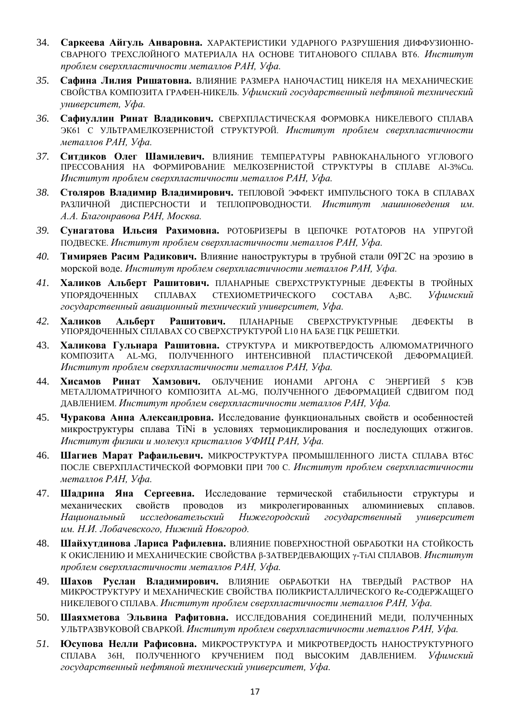- 34. **Саркеева Айгуль Анваровна.** ХАРАКТЕРИСТИКИ УДАРНОГО РАЗРУШЕНИЯ ДИФФУЗИОННО-СВАРНОГО ТРЕХСЛОЙНОГО МАТЕРИАЛА НА ОСНОВЕ ТИТАНОВОГО СПЛАВА ВТ6. Институт *проблем сверхпластичности металлов РАН, Уфа.*
- *35.* **Сафина Лилия Ришатовна.** ВЛИЯНИЕ РАЗМЕРА НАНОЧАСТИЦ НИКЕЛЯ НА МЕХАНИЧЕСКИЕ СВОЙСТВА КОМПОЗИТА ГРАФЕН-НИКЕЛЬ. *Уфимский государственный нефтяной технический университет, Уфа.*
- *36.* **Сафиуллин Ринат Владикович.** СВЕРХПЛАСТИЧЕСКАЯ ФОРМОВКА НИКЕЛЕВОГО СПЛАВА ЭК61 С УЛЬТРАМЕЛКОЗЕРНИСТОЙ СТРУКТУРОЙ. *Институт проблем сверхпластичности металлов РАН, Уфа.*
- *37.* **Ситдиков Олег Шамилевич.** ВЛИЯНИЕ ТЕМПЕРАТУРЫ РАВНОКАНАЛЬНОГО УГЛОВОГО ПРЕССОВАНИЯ НА ФОРМИРОВАНИЕ МЕЛКОЗЕРНИСТОЙ СТРУКТУРЫ В СПЛАВЕ Al-3%Cu. *Институт проблем сверхпластичности металлов РАН, Уфа.*
- *38.* **Столяров Владимир Владимирович.** ТЕПЛОВОЙ ЭФФЕКТ ИМПУЛЬСНОГО ТОКА В СПЛАВАХ РАЗЛИЧНОЙ ДИСПЕРСНОСТИ И ТЕПЛОПРОВОДНОСТИ. *Институт машиноведения им. А.А. Благонравова РАН, Москва.*
- *39.* **Сунагатова Ильсия Рахимовна.** РОТОБРИЗЕРЫ В ЦЕПОЧКЕ РОТАТОРОВ НА УПРУГОЙ ПОДВЕСКЕ. *Институт проблем сверхпластичности металлов РАН, Уфа.*
- *40.* **Тимиряев Расим Радикович.** Влияние наноструктуры в трубной стали 09Г2С на эрозию в морской воде. *Институт проблем сверхпластичности металлов РАН, Уфа.*
- *41.* **Халиков Альберт Рашитович.** ПЛАНАРНЫЕ СВЕРХСТРУКТУРНЫЕ ДЕФЕКТЫ В ТРОЙНЫХ УПОРЯДОЧЕННЫХ СПЛАВАХ СТЕХИОМЕТРИЧЕСКОГО СОСТАВА A2BC. *Уфимский государственный авиационный технический университет, Уфа.*
- *42.* **Халиков Альберт Рашитович.** ПЛАНАРНЫЕ СВЕРХСТРУКТУРНЫЕ ДЕФЕКТЫ В УПОРЯДОЧЕННЫХ СПЛАВАХ СО СВЕРХСТРУКТУРОЙ L10 НА БАЗЕ ГЦК РЕШЕТКИ.
- 43. **Халикова Гульнара Рашитовна.** СТРУКТУРА И МИКРОТВЕРДОСТЬ АЛЮМОМАТРИЧНОГО КОМПОЗИТА AL-MG, ПОЛУЧЕННОГО ИНТЕНСИВНОЙ ПЛАСТИЧСЕКОЙ ДЕФОРМАЦИЕЙ. *Институт проблем сверхпластичности металлов РАН, Уфа.*
- 44. **Хисамов Ринат Хамзович.** ОБЛУЧЕНИЕ ИОНАМИ АРГОНА С ЭНЕРГИЕЙ 5 КЭВ МЕТАЛЛОМАТРИЧНОГО КОМПОЗИТА AL-MG, ПОЛУЧЕННОГО ДЕФОРМАЦИЕЙ СДВИГОМ ПОД ДАВЛЕНИЕМ. *Институт проблем сверхпластичности металлов РАН, Уфа.*
- 45. **Чуракова Анна Александровна.** Исследование функциональных свойств и особенностей микроструктуры сплава TiNi в условиях термоциклирования и последующих отжигов. *Институт физики и молекул кристаллов УФИЦ РАН, Уфа.*
- 46. **Шагиев Марат Рафаильевич.** МИКРОСТРУКТУРА ПРОМЫШЛЕННОГО ЛИСТА СПЛАВА ВТ6С ПОСЛЕ СВЕРХПЛАСТИЧЕСКОЙ ФОРМОВКИ ПРИ 700 С. *Институт проблем сверхпластичности металлов РАН, Уфа.*
- 47. **Шадрина Яна Сергеевна.** Исследование термической стабильности структуры и механических свойств проводов из микролегированных алюминиевых сплавов. Национальный исследовательский *Нижегородский государственный университет им. Н.И. Лобачевского, Нижний Новгород.*
- 48. **Шайхутдинова Лариса Рафилевна.** ВЛИЯНИЕ ПОВЕРХНОСТНОЙ ОБРАБОТКИ НА СТОЙКОСТЬ К ОКИСЛЕНИЮ И МЕХАНИЧЕСКИЕ СВОЙСТВА β-ЗАТВЕРДЕВАЮЩИХ γ-TiAl СПЛАВОВ. *Институт проблем сверхпластичности металлов РАН, Уфа.*
- 49. **Шахов Руслан Владимирович.** ВЛИЯНИЕ ОБРАБОТКИ НА ТВЕРДЫЙ РАСТВОР НА МИКРОСТРУКТУРУ И МЕХАНИЧЕСКИЕ СВОЙСТВА ПОЛИКРИСТАЛЛИЧЕСКОГО Re-СОДЕРЖАЩЕГО НИКЕЛЕВОГО СПЛАВА. *Институт проблем сверхпластичности металлов РАН, Уфа.*
- 50. **Шаяхметова Эльвина Рафитовна.** ИССЛЕДОВАНИЯ СОЕДИНЕНИЙ МЕДИ, ПОЛУЧЕННЫХ УЛЬТРАЗВУКОВОЙ СВАРКОЙ. *Институт проблем сверхпластичности металлов РАН, Уфа.*
- *51.* **Юсупова Нелли Рафисовна.** МИКРОСТРУКТУРА И МИКРОТВЕРДОСТЬ НАНОСТРУКТУРНОГО СПЛАВА 36Н, ПОЛУЧЕННОГО КРУЧЕНИЕМ ПОД ВЫСОКИМ ДАВЛЕНИЕМ. *Уфимский государственный нефтяной технический университет, Уфа.*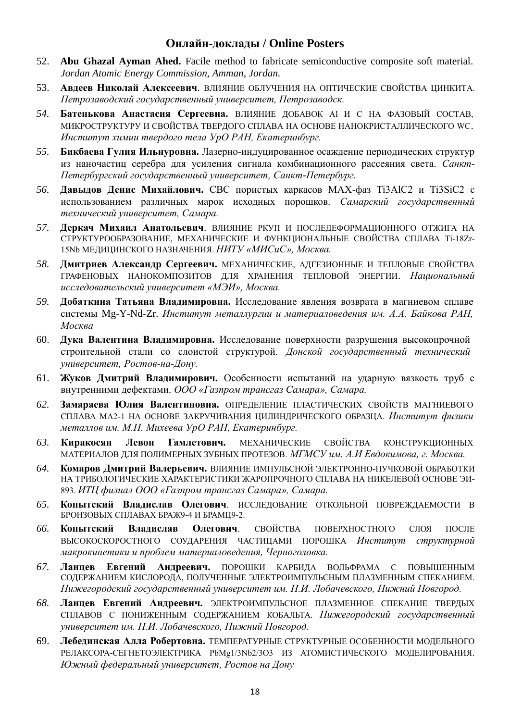## **Онлайн-доклады / Online Posters**

- 52. **Abu Ghazal Ayman Ahed.** Facile method to fabricate semiconductive composite soft material. *Jordan Atomic Energy Commission, Amman, Jordan.*
- 53. **Авдеев Николай Алексеевич**. ВЛИЯНИЕ ОБЛУЧЕНИЯ НА ОПТИЧЕСКИЕ СВОЙСТВА ЦИНКИТА. *Петрозаводский государственный университет, Петрозаводск.*
- *54.* **Батенькова Анастасия Сергеевна.** ВЛИЯНИЕ ДОБАВОК Al И С НА ФАЗОВЫЙ СОСТАВ, МИКРОСТРУКТУРУ И СВОЙСТВА ТВЕРДОГО СПЛАВА НА ОСНОВЕ НАНОКРИСТАЛЛИЧЕСКОГО WC. *Институт химии твердого тела УрО РАН, Екатеринбург.*
- *55.* **Бикбаева Гулия Ильнуровна.** Лазерно-индуцированное осаждение периодических структур из наночастиц серебра для усиления сигнала комбинационного рассеяния света. *Санкт-Петербургский государственный университет, Санкт-Петербург.*
- *56.* **Давыдов Денис Михайлович.** СВС пористых каркасов МАХ-фаз Ti3AlC2 и Ti3SiC2 с использованием различных марок исходных порошков. *Самарский государственный технический университет, Самара.*
- *57.* **Деркач Михаил Анатольевич**. ВЛИЯНИЕ РКУП И ПОСЛЕДЕФОРМАЦИОННОГО ОТЖИГА НА СТРУКТУРООБРАЗОВАНИЕ, МЕХАНИЧЕСКИЕ И ФУНКЦИОНАЛЬНЫЕ СВОЙСТВА СПЛАВА Ti-18Zr-15Nb МЕДИЦИНСКОГО НАЗНАЧЕНИЯ. *НИТУ «МИСиС», Москва.*
- *58.* **Дмитриев Александр Сергеевич.** МЕХАНИЧЕСКИЕ, АДГЕЗИОННЫЕ И ТЕПЛОВЫЕ СВОЙСТВА ГРАФЕНОВЫХ НАНОКОМПОЗИТОВ ДЛЯ ХРАНЕНИЯ ТЕПЛОВОЙ ЭНЕРГИИ. *Национальный исследовательский университет «МЭИ», Москва.*
- *59.* **Добаткина Татьяна Владимировна.** Исследование явления возврата в магниевом сплаве системы Mg-Y-Nd-Zr. *Институт металлургии и материаловедения им. А.А. Байкова РАН, Москва*
- 60. **Дука Валентина Владимировна.** Исследование поверхности разрушения высокопрочной строительной стали со слоистой структурой. *Донской государственный технический университет, Ростов-на-Дону.*
- 61. **Жуков Дмитрий Владимирович.** Особенности испытаний на ударную вязкость труб с внутренними дефектами. *ООО «Газпром трансгаз Самара», Самара.*
- *62.* **Замараева Юлия Валентиновна.** ОПРЕДЕЛЕНИЕ ПЛАСТИЧЕСКИХ СВОЙСТВ МАГНИЕВОГО СПЛАВА МА2-1 НА ОСНОВЕ ЗАКРУЧИВАНИЯ ЦИЛИНДРИЧЕСКОГО ОБРАЗЦА. *Институт физики металлов им. М.Н. Михеева УрО РАН, Екатеринбург.*
- *63.* **Киракосян Левон Гамлетович.** МЕХАНИЧЕСКИЕ СВОЙСТВА КОНСТРУКЦИОННЫХ МАТЕРИАЛОВ ДЛЯ ПОЛИМЕРНЫХ ЗУБНЫХ ПРОТЕЗОВ. *МГМСУ им. А.И Евдокимова, г. Москва.*
- *64.* **Комаров Дмитрий Валерьевич.** ВЛИЯНИЕ ИМПУЛЬСНОЙ ЭЛЕКТРОННО-ПУЧКОВОЙ ОБРАБОТКИ НА ТРИБОЛОГИЧЕСКИЕ ХАРАКТЕРИСТИКИ ЖАРОПРОЧНОГО СПЛАВА НА НИКЕЛЕВОЙ ОСНОВЕ ЭИ-893. *ИТЦ филиал ООО «Газпром трансгаз Самара», Самара.*
- *65.* **Копытский Владислав Олегович**. ИССЛЕДОВАНИЕ ОТКОЛЬНОЙ ПОВРЕЖДАЕМОСТИ В БРОНЗОВЫХ СПЛАВАХ БРАЖ9-4 И БРАМЦ9-2.
- *66.* **Копытский Владислав Олегович**. СВОЙСТВА ПОВЕРХНОСТНОГО СЛОЯ ПОСЛЕ ВЫСОКОСКОРОСТНОГО СОУДАРЕНИЯ ЧАСТИЦАМИ ПОРОШКА *Институт структурной макрокинетики и проблем материаловедения, Черноголовка.*
- *67.* **Ланцев Евгений Андреевич.** ПОРОШКИ КАРБИДА ВОЛЬФРАМА С ПОВЫШЕННЫМ СОДЕРЖАНИЕМ КИСЛОРОДА, ПОЛУЧЕННЫЕ ЭЛЕКТРОИМПУЛЬСНЫМ ПЛАЗМЕННЫМ СПЕКАНИЕМ. *Нижегородский государственный университет им. Н.И. Лобачевского, Нижний Новгород.*
- *68.* **Ланцев Евгений Андреевич.** ЭЛЕКТРОИМПУЛЬСНОЕ ПЛАЗМЕННОЕ СПЕКАНИЕ ТВЕРДЫХ СПЛАВОВ С ПОНИЖЕННЫМ СОДЕРЖАНИЕМ КОБАЛЬТА. *Нижегородский государственный университет им. Н.И. Лобачевского, Нижний Новгород.*
- 69. **Лебединская Алла Робертовна.** ТЕМПЕРАТУРНЫЕ СТРУКТУРНЫЕ ОСОБЕННОСТИ МОДЕЛЬНОГО РЕЛАКСОРА-СЕГНЕТОЭЛЕКТРИКА PbMg1/3Nb2/3O3 ИЗ АТОМИСТИЧЕСКОГО МОДЕЛИРОВАНИЯ. *Южный федеральный университет, Ростов на Дону*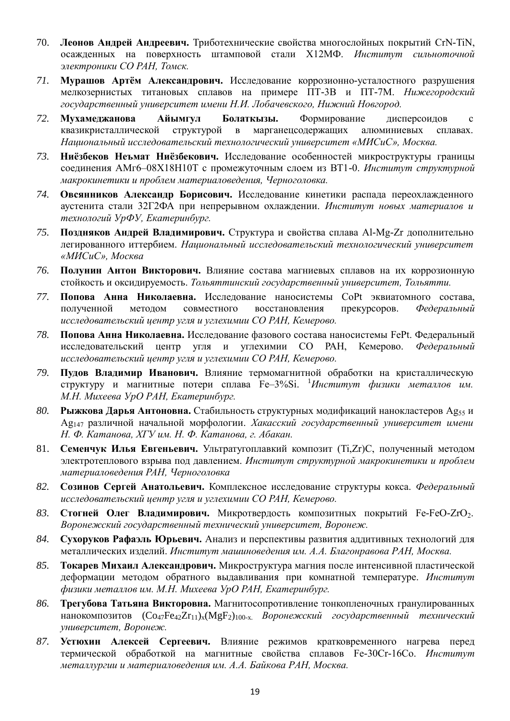- 70. **Леонов Андрей Андреевич.** Триботехнические свойства многослойных покрытий CrN-TiN, осажденных на поверхность штамповой стали Х12МФ. *Институт сильноточной электроники СО РАН, Томск.*
- *71.* **Мурашов Артём Александрович.** Исследование коррозионно-усталостного разрушения мелкозернистых титановых сплавов на примере ПТ-3В и ПТ-7М. *Нижегородский государственный университет имени Н.И. Лобачевского, Нижний Новгород.*
- *72.* **Мухамеджанова Айымгул Болаткызы.** Формирование дисперсоидов с квазикристаллической структурой в марганецсодержащих алюминиевых сплавах. *Национальный исследовательский технологический университет «МИСиС», Москва.*
- *73.* **Ниёзбеков Неъмат Ниёзбекович.** Исследование особенностей микроструктуры границы соединения АМг6–08Х18Н10Т с промежуточным слоем из ВТ1-0. *Институт структурной макрокинетики и проблем материаловедения, Черноголовка.*
- *74.* **Овсянников Александр Борисович.** Исследование кинетики распада переохлажденного аустенита стали 32Г2ФА при непрерывном охлаждении. *Институт новых материалов и технологий УрФУ, Екатеринбург.*
- *75.* **Поздняков Андрей Владимирович.** Структура и свойства сплава Al-Mg-Zr дополнительно легированного иттербием. *Национальный исследовательский технологический университет «МИСиС», Москва*
- *76.* **Полунин Антон Викторович.** Влияние состава магниевых сплавов на их коррозионную стойкость и оксидируемость. *Тольяттинский государственный университет, Тольятти.*
- *77.* **Попова Анна Николаевна.** Исследование наносистемы CoPt эквиатомного состава, полученной методом совместного восстановления прекурсоров. *Федеральный исследовательский центр угля и углехимии СО РАН, Кемерово.*
- *78.* **Попова Анна Николаевна.** Исследование фазового состава наносистемы FePt. Федеральный исследовательский центр угля и углехимии СО РАН, Кемерово. *Федеральный исследовательский центр угля и углехимии СО РАН, Кемерово.*
- *79.* **Пудов Владимир Иванович.** Влияние термомагнитной обработки на кристаллическую структуру и магнитные потери сплава Fе–3%Si. <sup>1</sup>*Институт физики металлов им. М.Н. Михеева УрО РАН, Екатеринбург.*
- 80. **Рыжкова Дарья Антоновна.** Стабильность структурных модификаций нанокластеров Ag<sub>55</sub> и Ag147 различной начальной морфологии. *Хакасский государственный университет имени Н. Ф. Катанова, ХГУ им. Н. Ф. Катанова, г. Абакан.*
- 81. **Семенчук Илья Евгеньевич.** Ультратугоплавкий композит (Ti,Zr)C, полученный методом электротеплового взрыва под давлением. *Институт структурной макрокинетики и проблем материаловедения РАН, Черноголовка*
- *82.* **Созинов Сергей Анатольевич.** Комплексное исследование структуры кокса. *Федеральный исследовательский центр угля и углехимии СО РАН, Кемерово.*
- 83. **Стогней Олег Владимирович.** Микротвердость композитных покрытий Fe-FeO-ZrO<sub>2</sub>. *Воронежский государственный технический университет, Воронеж.*
- *84.* **Сухоруков Рафаэль Юрьевич.** Анализ и перспективы развития аддитивных технологий для металлических изделий. *Институт машиноведения им. А.А. Благонравова РАН, Москва.*
- *85.* **Токарев Михаил Александрович.** Микроструктура магния после интенсивной пластической деформации методом обратного выдавливания при комнатной температуре. *Институт физики металлов им. М.Н. Михеева УрО РАН, Екатеринбург.*
- *86.* **Трегубова Татьяна Викторовна.** Магнитосопротивление тонкопленочных гранулированных нанокомпозитов (Co47Fe42Zr11)x(MgF2)100-x. *Воронежский государственный технический университет, Воронеж.*
- *87.* **Устюхин Алексей Сергеевич.** Влияние режимов кратковременного нагрева перед термической обработкой на магнитные свойства сплавов Fe-30Cr-16Co. *Институт металлургии и материаловедения им. А.А. Байкова РАН, Москва.*